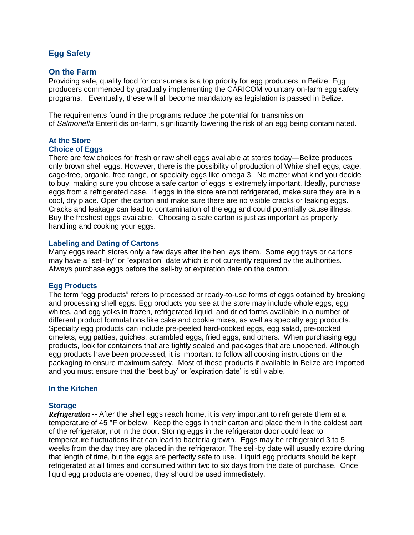# **Egg Safety**

### **On the Farm**

Providing safe, quality food for consumers is a top priority for egg producers in Belize. Egg producers commenced by gradually implementing the CARICOM voluntary on-farm egg safety programs. Eventually, these will all become mandatory as legislation is passed in Belize.

The requirements found in the programs reduce the potential for transmission of *Salmonella* Enteritidis on-farm, significantly lowering the risk of an egg being contaminated.

#### **At the Store Choice of Eggs**

There are few choices for fresh or raw shell eggs available at stores today—Belize produces only brown shell eggs. However, there is the possibility of production of White shell eggs, cage, cage-free, organic, free range, or specialty eggs like omega 3. No matter what kind you decide to buy, making sure you choose a safe carton of eggs is extremely important. Ideally, purchase eggs from a refrigerated case. If eggs in the store are not refrigerated, make sure they are in a cool, dry place. Open the carton and make sure there are no visible cracks or leaking eggs. Cracks and leakage can lead to contamination of the egg and could potentially cause illness. Buy the freshest eggs available. Choosing a safe carton is just as important as properly handling and cooking your eggs.

#### **Labeling and Dating of Cartons**

Many eggs reach stores only a few days after the hen lays them. Some egg trays or cartons may have a "sell-by" or "expiration" date which is not currently required by the authorities. Always purchase eggs before the sell-by or expiration date on the carton.

### **Egg Products**

The term "egg products" refers to processed or ready-to-use forms of eggs obtained by breaking and processing shell eggs. Egg products you see at the store may include whole eggs, egg whites, and egg yolks in frozen, refrigerated liquid, and dried forms available in a number of different product formulations like cake and cookie mixes, as well as specialty egg products. Specialty egg products can include pre-peeled hard-cooked eggs, egg salad, pre-cooked omelets, egg patties, quiches, scrambled eggs, fried eggs, and others. When purchasing egg products, look for containers that are tightly sealed and packages that are unopened. Although egg products have been processed, it is important to follow all cooking instructions on the packaging to ensure maximum safety. Most of these products if available in Belize are imported and you must ensure that the 'best buy' or 'expiration date' is still viable.

## **In the Kitchen**

### **Storage**

*Refrigeration* -- After the shell eggs reach home, it is very important to refrigerate them at a temperature of 45 °F or below. Keep the eggs in their carton and place them in the coldest part of the refrigerator, not in the door. Storing eggs in the refrigerator door could lead to temperature fluctuations that can lead to bacteria growth. Eggs may be refrigerated 3 to 5 weeks from the day they are placed in the refrigerator. The sell-by date will usually expire during that length of time, but the eggs are perfectly safe to use. Liquid egg products should be kept refrigerated at all times and consumed within two to six days from the date of purchase. Once liquid egg products are opened, they should be used immediately.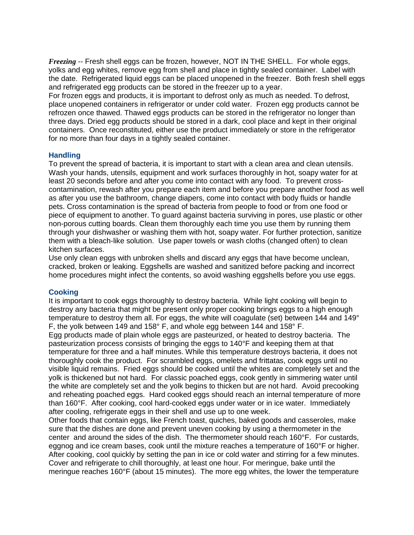*Freezing* -- Fresh shell eggs can be frozen, however, NOT IN THE SHELL. For whole eggs, yolks and egg whites, remove egg from shell and place in tightly sealed container. Label with the date. Refrigerated liquid eggs can be placed unopened in the freezer. Both fresh shell eggs and refrigerated egg products can be stored in the freezer up to a year.

For frozen eggs and products, it is important to defrost only as much as needed. To defrost, place unopened containers in refrigerator or under cold water. Frozen egg products cannot be refrozen once thawed. Thawed eggs products can be stored in the refrigerator no longer than three days. Dried egg products should be stored in a dark, cool place and kept in their original containers. Once reconstituted, either use the product immediately or store in the refrigerator for no more than four days in a tightly sealed container.

## **Handling**

To prevent the spread of bacteria, it is important to start with a clean area and clean utensils. Wash your hands, utensils, equipment and work surfaces thoroughly in hot, soapy water for at least 20 seconds before and after you come into contact with any food. To prevent crosscontamination, rewash after you prepare each item and before you prepare another food as well as after you use the bathroom, change diapers, come into contact with body fluids or handle pets. Cross contamination is the spread of bacteria from people to food or from one food or piece of equipment to another. To guard against bacteria surviving in pores, use plastic or other non-porous cutting boards. Clean them thoroughly each time you use them by running them through your dishwasher or washing them with hot, soapy water. For further protection, sanitize them with a bleach-like solution. Use paper towels or wash cloths (changed often) to clean kitchen surfaces.

Use only clean eggs with unbroken shells and discard any eggs that have become unclean, cracked, broken or leaking. Eggshells are washed and sanitized before packing and incorrect home procedures might infect the contents, so avoid washing eggshells before you use eggs.

## **Cooking**

It is important to cook eggs thoroughly to destroy bacteria. While light cooking will begin to destroy any bacteria that might be present only proper cooking brings eggs to a high enough temperature to destroy them all. For eggs, the white will coagulate (set) between 144 and 149° F, the yolk between 149 and 158° F, and whole egg between 144 and 158° F. Egg products made of plain whole eggs are pasteurized, or heated to destroy bacteria. The pasteurization process consists of bringing the eggs to 140°F and keeping them at that temperature for three and a half minutes. While this temperature destroys bacteria, it does not thoroughly cook the product. For scrambled eggs, omelets and frittatas, cook eggs until no visible liquid remains. Fried eggs should be cooked until the whites are completely set and the yolk is thickened but not hard. For classic poached eggs, cook gently in simmering water until the white are completely set and the yolk begins to thicken but are not hard. Avoid precooking and reheating poached eggs. Hard cooked eggs should reach an internal temperature of more than 160°F. After cooking, cool hard-cooked eggs under water or in ice water. Immediately after cooling, refrigerate eggs in their shell and use up to one week.

Other foods that contain eggs, like French toast, quiches, baked goods and casseroles, make sure that the dishes are done and prevent uneven cooking by using a thermometer in the center and around the sides of the dish. The thermometer should reach 160°F. For custards, eggnog and ice cream bases, cook until the mixture reaches a temperature of 160°F or higher. After cooking, cool quickly by setting the pan in ice or cold water and stirring for a few minutes. Cover and refrigerate to chill thoroughly, at least one hour. For meringue, bake until the meringue reaches 160°F (about 15 minutes). The more egg whites, the lower the temperature